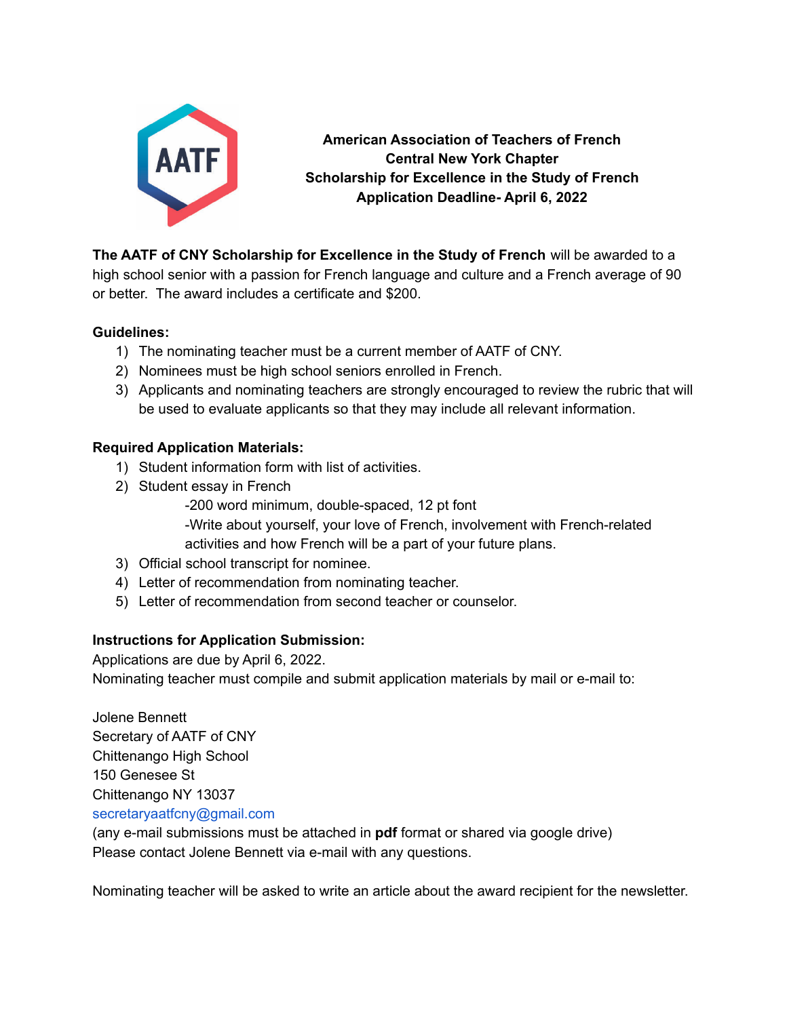

**American Association of Teachers of French Central New York Chapter Scholarship for Excellence in the Study of French Application Deadline- April 6, 2022**

**The AATF of CNY Scholarship for Excellence in the Study of French** will be awarded to a high school senior with a passion for French language and culture and a French average of 90 or better. The award includes a certificate and \$200.

#### **Guidelines:**

- 1) The nominating teacher must be a current member of AATF of CNY.
- 2) Nominees must be high school seniors enrolled in French.
- 3) Applicants and nominating teachers are strongly encouraged to review the rubric that will be used to evaluate applicants so that they may include all relevant information.

### **Required Application Materials:**

- 1) Student information form with list of activities.
- 2) Student essay in French
	- -200 word minimum, double-spaced, 12 pt font
	- -Write about yourself, your love of French, involvement with French-related activities and how French will be a part of your future plans.
- 3) Official school transcript for nominee.
- 4) Letter of recommendation from nominating teacher.
- 5) Letter of recommendation from second teacher or counselor.

## **Instructions for Application Submission:**

Applications are due by April 6, 2022.

Nominating teacher must compile and submit application materials by mail or e-mail to:

Jolene Bennett Secretary of AATF of CNY Chittenango High School 150 Genesee St Chittenango NY 13037 secretaryaatfcny@gmail.com

(any e-mail submissions must be attached in **pdf** format or shared via google drive) Please contact Jolene Bennett via e-mail with any questions.

Nominating teacher will be asked to write an article about the award recipient for the newsletter.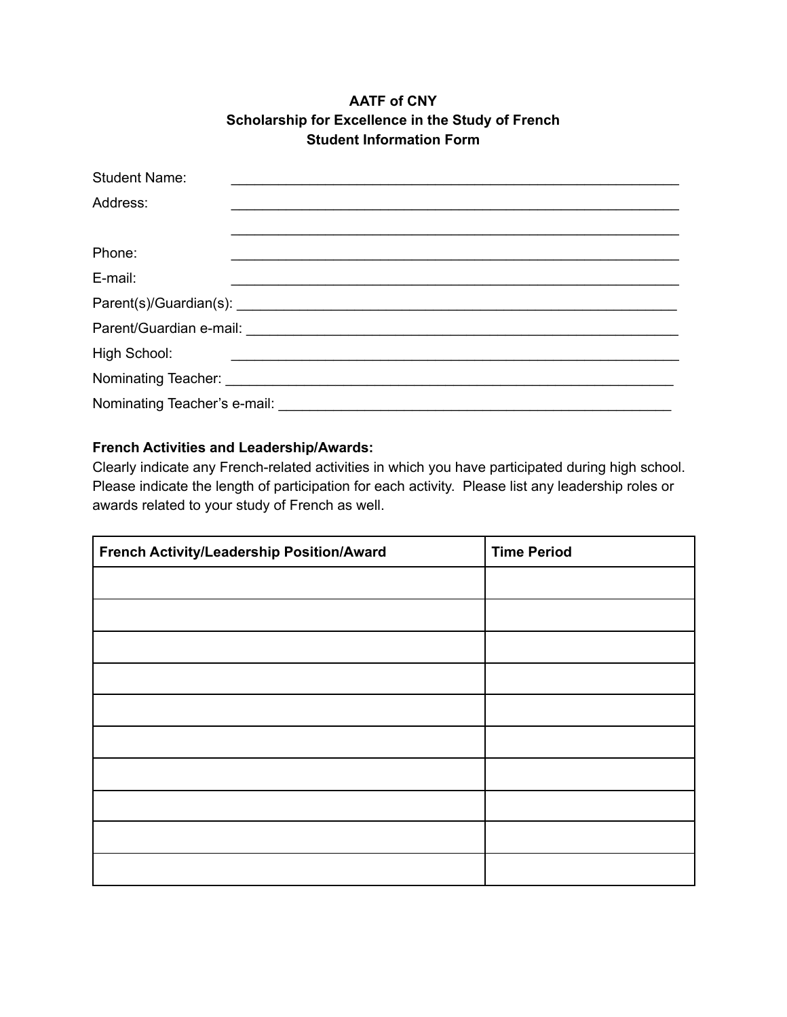### **AATF of CNY Scholarship for Excellence in the Study of French Student Information Form**

| <b>Student Name:</b> |  |
|----------------------|--|
| Address:             |  |
|                      |  |
| Phone:               |  |
| E-mail:              |  |
|                      |  |
|                      |  |
| High School:         |  |
|                      |  |
|                      |  |

## **French Activities and Leadership/Awards:**

Clearly indicate any French-related activities in which you have participated during high school. Please indicate the length of participation for each activity. Please list any leadership roles or awards related to your study of French as well.

| French Activity/Leadership Position/Award | <b>Time Period</b> |
|-------------------------------------------|--------------------|
|                                           |                    |
|                                           |                    |
|                                           |                    |
|                                           |                    |
|                                           |                    |
|                                           |                    |
|                                           |                    |
|                                           |                    |
|                                           |                    |
|                                           |                    |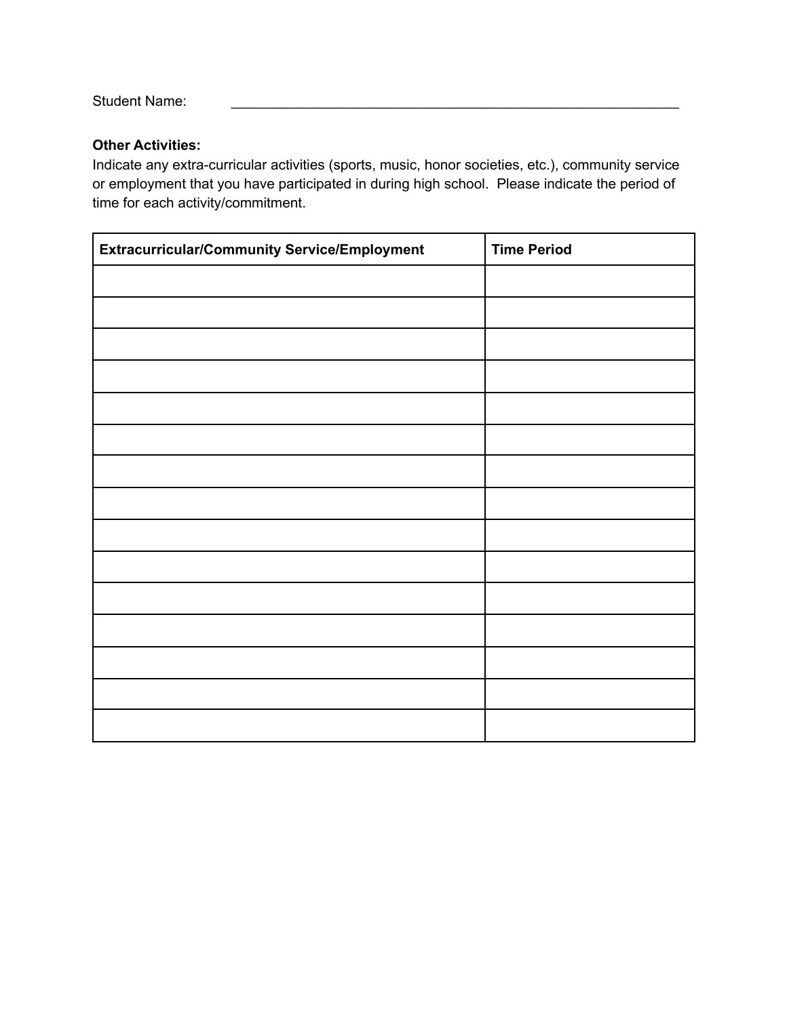Student Name:

#### **Other Activities:**

Indicate any extra-curricular activities (sports, music, honor societies, etc.), community service or employment that you have participated in during high school. Please indicate the period of time for each activity/commitment.

| Extracurricular/Community Service/Employment | <b>Time Period</b> |  |
|----------------------------------------------|--------------------|--|
|                                              |                    |  |
|                                              |                    |  |
|                                              |                    |  |
|                                              |                    |  |
|                                              |                    |  |
|                                              |                    |  |
|                                              |                    |  |
|                                              |                    |  |
|                                              |                    |  |
|                                              |                    |  |
|                                              |                    |  |
|                                              |                    |  |
|                                              |                    |  |
|                                              |                    |  |
|                                              |                    |  |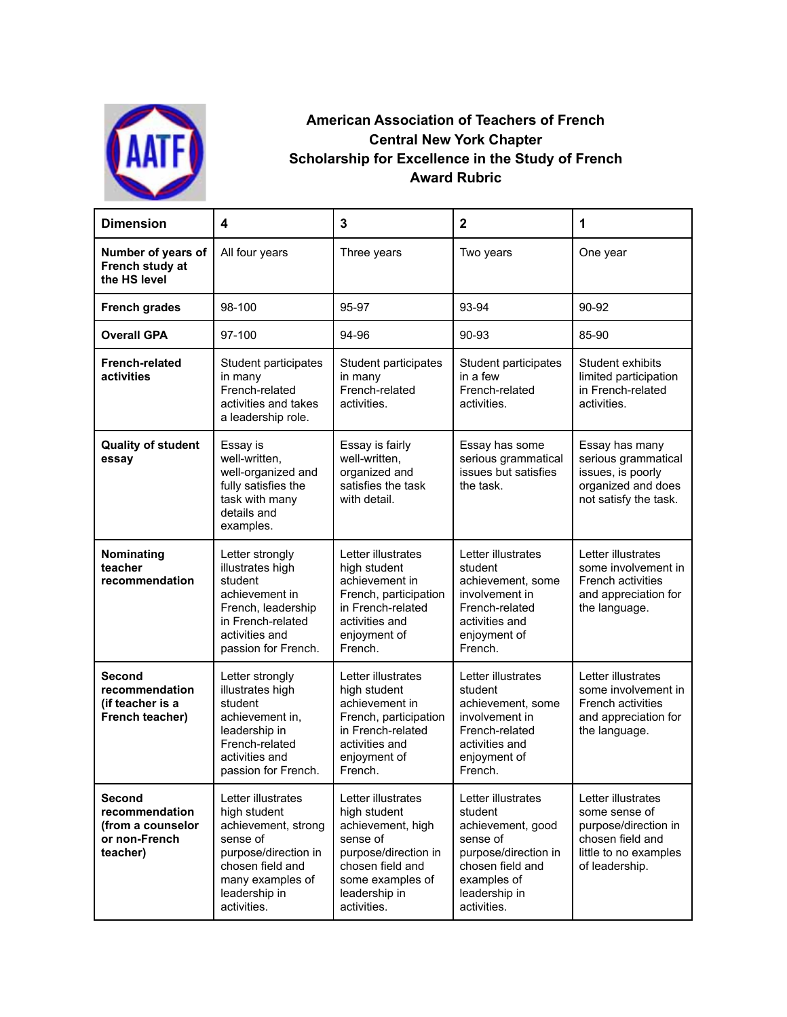

# **American Association of Teachers of French Central New York Chapter Scholarship for Excellence in the Study of French Award Rubric**

| <b>Dimension</b>                                                           | 4                                                                                                                                                                     | 3                                                                                                                                                                   | $\mathbf{2}$                                                                                                                                              | 1                                                                                                                          |
|----------------------------------------------------------------------------|-----------------------------------------------------------------------------------------------------------------------------------------------------------------------|---------------------------------------------------------------------------------------------------------------------------------------------------------------------|-----------------------------------------------------------------------------------------------------------------------------------------------------------|----------------------------------------------------------------------------------------------------------------------------|
| Number of years of<br>French study at<br>the HS level                      | All four years                                                                                                                                                        | Three years                                                                                                                                                         | Two years                                                                                                                                                 | One year                                                                                                                   |
| <b>French grades</b>                                                       | 98-100                                                                                                                                                                | 95-97                                                                                                                                                               | 93-94                                                                                                                                                     | 90-92                                                                                                                      |
| <b>Overall GPA</b>                                                         | 97-100                                                                                                                                                                | 94-96                                                                                                                                                               | 90-93                                                                                                                                                     | 85-90                                                                                                                      |
| <b>French-related</b><br>activities                                        | Student participates<br>in many<br>French-related<br>activities and takes<br>a leadership role.                                                                       | Student participates<br>in many<br>French-related<br>activities.                                                                                                    | Student participates<br>in a few<br>French-related<br>activities.                                                                                         | Student exhibits<br>limited participation<br>in French-related<br>activities.                                              |
| <b>Quality of student</b><br>essay                                         | Essay is<br>well-written,<br>well-organized and<br>fully satisfies the<br>task with many<br>details and<br>examples.                                                  | Essay is fairly<br>well-written,<br>organized and<br>satisfies the task<br>with detail.                                                                             | Essay has some<br>serious grammatical<br>issues but satisfies<br>the task.                                                                                | Essay has many<br>serious grammatical<br>issues, is poorly<br>organized and does<br>not satisfy the task.                  |
| Nominating<br>teacher<br>recommendation                                    | Letter strongly<br>illustrates high<br>student<br>achievement in<br>French, leadership<br>in French-related<br>activities and<br>passion for French.                  | Letter illustrates<br>high student<br>achievement in<br>French, participation<br>in French-related<br>activities and<br>enjoyment of<br>French.                     | Letter illustrates<br>student<br>achievement, some<br>involvement in<br>French-related<br>activities and<br>enjoyment of<br>French.                       | Letter illustrates<br>some involvement in<br><b>French activities</b><br>and appreciation for<br>the language.             |
| Second<br>recommendation<br>(if teacher is a<br>French teacher)            | Letter strongly<br>illustrates high<br>student<br>achievement in,<br>leadership in<br>French-related<br>activities and<br>passion for French.                         | Letter illustrates<br>high student<br>achievement in<br>French, participation<br>in French-related<br>activities and<br>enjoyment of<br>French.                     | Letter illustrates<br>student<br>achievement, some<br>involvement in<br>French-related<br>activities and<br>enjoyment of<br>French.                       | Letter illustrates<br>some involvement in<br><b>French activities</b><br>and appreciation for<br>the language.             |
| Second<br>recommendation<br>(from a counselor<br>or non-French<br>teacher) | Letter illustrates<br>high student<br>achievement, strong<br>sense of<br>purpose/direction in<br>chosen field and<br>many examples of<br>leadership in<br>activities. | Letter illustrates<br>high student<br>achievement, high<br>sense of<br>purpose/direction in<br>chosen field and<br>some examples of<br>leadership in<br>activities. | Letter illustrates<br>student<br>achievement, good<br>sense of<br>purpose/direction in<br>chosen field and<br>examples of<br>leadership in<br>activities. | Letter illustrates<br>some sense of<br>purpose/direction in<br>chosen field and<br>little to no examples<br>of leadership. |